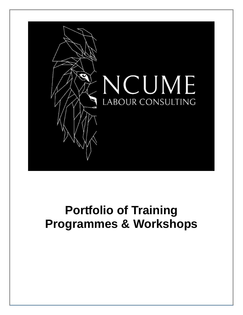

# **Portfolio of Training Programmes & Workshops**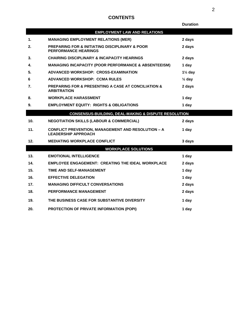# **CONTENTS**

|                                                                 |                                                                                              | <b>Duration</b>    |
|-----------------------------------------------------------------|----------------------------------------------------------------------------------------------|--------------------|
|                                                                 | <b>EMPLOYMENT LAW AND RELATIONS</b>                                                          |                    |
| 1.                                                              | <b>MANAGING EMPLOYMENT RELATIONS (MER)</b>                                                   | 2 days             |
| 2.                                                              | <b>PREPARING FOR &amp; INITIATING DISCIPLINARY &amp; POOR</b><br><b>PERFORMANCE HEARINGS</b> | 2 days             |
| 3.                                                              | <b>CHAIRING DISCIPLINARY &amp; INCAPACITY HEARINGS</b>                                       | 2 days             |
| 4.                                                              | <b>MANAGING INCAPACITY (POOR PERFORMANCE &amp; ABSENTEEISM)</b>                              | 1 day              |
| 5.                                                              | ADVANCED WORKSHOP: CROSS-EXAMINATION                                                         | $1\frac{1}{2}$ day |
| 6                                                               | ADVANCED WORKSHOP: CCMA RULES                                                                | $\frac{1}{2}$ day  |
| 7.                                                              | <b>PREPARING FOR &amp; PRESENTING A CASE AT CONCILIATION &amp;</b><br><b>ARBITRATION</b>     | 2 days             |
| 8.                                                              | <b>WORKPLACE HARASSMENT</b>                                                                  | 1 day              |
| 9.                                                              | <b>EMPLOYMENT EQUITY: RIGHTS &amp; OBLIGATIONS</b>                                           | 1 day              |
| <b>CONSENSUS-BUILDING, DEAL-MAKING &amp; DISPUTE RESOLUTION</b> |                                                                                              |                    |
| 10.                                                             | <b>NEGOTIATION SKILLS (LABOUR &amp; COMMERCIAL)</b>                                          | 2 days             |
| 11.                                                             | <b>CONFLICT PREVENTION, MANAGEMENT AND RESOLUTION - A</b><br><b>LEADERSHIP APPROACH</b>      | 1 day              |
| 12.                                                             | <b>MEDIATING WORKPLACE CONFLICT</b>                                                          | 3 days             |
|                                                                 | <b>WORKPLACE SOLUTIONS</b>                                                                   |                    |
| 13.                                                             | <b>EMOTIONAL INTELLIGENCE</b>                                                                | 1 day              |
| 14.                                                             | <b>EMPLOYEE ENGAGEMENT: CREATING THE IDEAL WORKPLACE</b>                                     | 2 days             |
| 15.                                                             | TIME AND SELF-MANAGEMENT                                                                     | 1 day              |
| 16.                                                             | <b>EFFECTIVE DELEGATION</b>                                                                  | 1 day              |
| 17.                                                             | <b>MANAGING DIFFICULT CONVERSATIONS</b>                                                      | 2 days             |
| 18.                                                             | <b>PERFORMANCE MANAGEMENT</b>                                                                | 2 days             |
| 19.                                                             | THE BUSINESS CASE FOR SUBSTANTIVE DIVERSITY                                                  | 1 day              |
| 20.                                                             | <b>PROTECTION OF PRIVATE INFORMATION (POPI)</b>                                              | 1 dav              |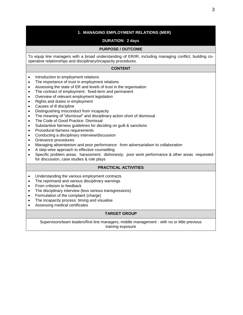# **1. MANAGING EMPLOYMENT RELATIONS (MER)**

# **DURATION: 2 days**

# **PURPOSE / OUTCOME**

To equip line managers with a broad understanding of ER/IR, including managing conflict, building cooperative relationships and disciplinary/incapacity procedures.

#### **CONTENT**

- Introduction to employment relations
- The importance of trust in employment relations
- Assessing the state of ER and levels of trust in the organisation
- The contract of employment: fixed-term and permanent
- Overview of relevant employment legislation
- Rights and duties in employment
- Causes of ill discipline
- Distinguishing misconduct from incapacity
- The meaning of "*dismissal*" and disciplinary action short of dismissal
- The Code of Good Practice: Dismissal
- Substantive fairness guidelines for deciding on guilt & sanctions
- Procedural fairness requirements
- Conducting a disciplinary interview/discussion
- Grievance procedures
- Managing absenteeism and poor performance: from adversarialism to collaboration
- A step-wise approach to effective counselling
- Specific problem areas: harassment; dishonesty; poor work performance & other areas requested for discussion, case studies & role plays

#### **PRACTICAL ACTIVITIES**

- Understanding the various employment contracts
- The reprimand and various disciplinary warnings
- From critisism to feedback
- The disciplinary interview (less serious transgressions)
- Formulation of the complaint (charge)
- The incapacity process: timing and visualise
- Assessing medical certificates

#### **TARGET GROUP**

Supervisors/team leaders/first line managers, middle management - with no or little previous training exposure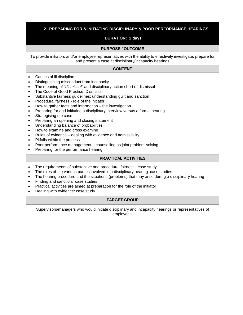# **2. PREPARING FOR & INITIATING DISCIPLINARY & POOR PERFORMANCE HEARINGS**

### **DURATION: 2 days**

#### **PURPOSE / OUTCOME**

To provide initiators and/or employee representatives with the ability to effectively investigate, prepare for and present a case at disciplinary/incapacity hearings

#### **CONTENT**

- Causes of ill discipline
- Distinguishing misconduct from incapacity
- The meaning of "*dismissal*" and disciplinary action short of dismissal
- The Code of Good Practice: Dismissal
- Substantive fairness guidelines: understanding guilt and sanction
- Procedural fairness role of the initiator
- How to gather facts and information the investigation
- Preparing for and initiating a disciplinary interview versus a formal hearing
- Strategising the case
- Preparing an opening and closing statement
- Understanding balance of probabilities
- How to examine and cross examine
- Rules of evidence dealing with evidence and admissibility
- Pitfalls within the process
- Poor performance management counselling as joint problem-solving
- Preparing for the performance hearing

# **PRACTICAL ACTIVITIES**

- The requirements of substantive and procedural fairness: case study
- The roles of the various parties involved in a disciplinary hearing: case studies
- The hearing procedure and the situations (problems) that may arise during a disciplinary hearing
- Finding and sanction: case studies
- Practical activities are aimed at preparation for the role of the initiator
- Dealing with evidence: case study

#### **TARGET GROUP**

Supervisors/managers who would initiate disciplinary and incapacity hearings or representatives of employees.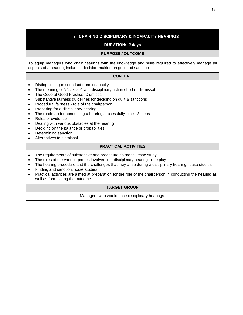# **3. CHAIRING DISCIPLINARY & INCAPACITY HEARINGS**

#### **DURATION: 2 days**

#### **PURPOSE / OUTCOME**

To equip managers who chair hearings with the knowledge and skills required to effectively manage all aspects of a hearing, including decision-making on guilt and sanction

#### **CONTENT**

- Distinguishing misconduct from incapacity
- The meaning of "*dismissal*" and disciplinary action short of dismissal
- The Code of Good Practice: Dismissal
- Substantive fairness guidelines for deciding on guilt & sanctions
- Procedural fairness role of the chairperson
- Preparing for a disciplinary hearing
- The roadmap for conducting a hearing successfully: the 12 steps
- Rules of evidence
- Dealing with various obstacles at the hearing
- Deciding on the balance of probabilities
- Determining sanction
- Alternatives to dismissal

#### **PRACTICAL ACTIVITIES**

- The requirements of substantive and procedural fairness: case study
- The roles of the various parties involved in a disciplinary hearing: role play
- The hearing procedure and the challenges that may arise during a disciplinary hearing: case studies
- Finding and sanction: case studies
- Practical activities are aimed at preparation for the role of the chairperson in conducting the hearing as well as formulating the outcome

#### **TARGET GROUP**

Managers who would chair disciplinary hearings.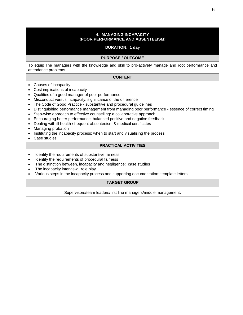#### **4. MANAGING INCAPACITY (POOR PERFORMANCE AND ABSENTEEISM)**

#### **DURATION: 1 day**

#### **PURPOSE / OUTCOME**

To equip line managers with the knowledge and skill to pro-actively manage and root performance and attendance problems

#### **CONTENT**

- Causes of incapacity
- Cost implications of incapacity
- Qualities of a good manager of poor performance
- Misconduct versus incapacity: significance of the difference
- The Code of Good Practice substantive and procedural guidelines
- Distinguishing performance management from managing poor performance essence of correct timing
- Step-wise approach to effective counselling: a collaborative approach
- Encouraging better performance: balanced positive and negative feedback
- Dealing with ill health / frequent absenteeism & medical certificates
- Managing probation
- Instituting the incapacity process: when to start and visualising the process
- Case studies

# **PRACTICAL ACTIVITIES**

- Identify the requirements of substantive fairness
- Identify the requirements of procedural fairness
- The distinction between, incapacity and negligence: case studies
- The incapacity interview: role play
- Various steps in the incapacity process and supporting documentation: template letters

# **TARGET GROUP**

Supervisors/team leaders/first line managers/middle management.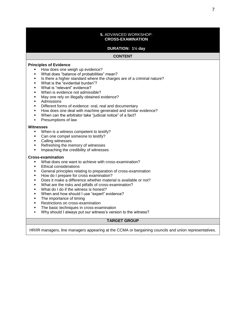#### **5.** ADVANCED WORKSHOP: **CROSS-EXAMINATION**

#### **DURATION: 1½ day**

#### **CONTENT**

#### **Principles of Evidence**

- How does one weigh up evidence?
- What does "balance of probabilities" mean?
- **EXEDER** Is there a higher standard where the charges are of a criminal nature?
- What is the "evidential burden"?
- What is "relevant" evidence?
- When is evidence not admissible?
- May one rely on illegally obtained evidence?
- Admissions
- Different forms of evidence: oral, real and documentary
- How does one deal with machine generated and similar evidence?
- When can the arbitrator take "judicial notice" of a fact?
- Presumptions of law

#### **Witnesses**

- When is a witness competent to testify?
- Can one compel someone to testify?
- Calling witnesses
- Refreshing the memory of witnesses
- **■** Impeaching the credibility of witnesses

#### **Cross-examination**

- What does one want to achieve with cross-examination?
- **Ethical considerations**
- General principles relating to preparation of cross-examination
- How do I prepare for cross examination?
- Does it make a difference whether material is available or not?
- What are the risks and pitfalls of cross-examination?
- What do I do if the witness is honest?
- When and how should I use "expert" evidence?
- The importance of timing
- **Restrictions on cross-examination**
- The basic techniques in cross-examination
- Why should I always put our witness's version to the witness?

#### **TARGET GROUP**

HR/IR managers, line managers appearing at the CCMA or bargaining councils and union representatives.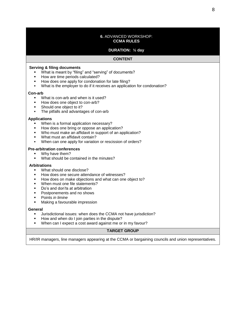#### **6.** ADVANCED WORKSHOP: **CCMA RULES**

# **DURATION: ½ day**

#### **CONTENT**

#### **Serving & filing documents**

- What is meant by "filing" and "serving" of documents?
- How are time periods calculated?
- How does one apply for condonation for late filing?
- What is the employer to do if it receives an application for condonation?

#### **Con-arb**

- What is con-arb and when is it used?
- How does one object to con-arb?
- Should one object to it?
- The pitfalls and advantages of con-arb

#### **Applications**

- When is a formal application necessary?
- How does one bring or oppose an application?
- Who must make an affidavit in support of an application?
- What must an affidavit contain?
- When can one apply for variation or rescission of orders?

#### **Pre-arbitration conferences**

- Why have them?
- What should be contained in the minutes?

#### **Arbitrations**

- What should one disclose?
- How does one secure attendance of witnesses?
- How does on make objections and what can one object to?
- When must one file statements?
- Do's and don'ts at arbitration
- Postponements and no shows
- **Points in limine**
- Making a favourable impression

#### **General**

- Jurisdictional issues: when does the CCMA not have jurisdiction?
- How and when do I join parties in the dispute?
- When can I expect a cost award against me or in my favour?

# **TARGET GROUP**

HR/IR managers, line managers appearing at the CCMA or bargaining councils and union representatives.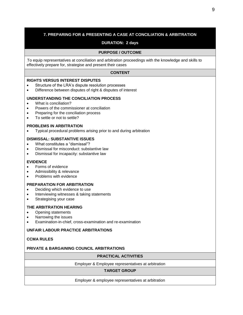# **7. PREPARING FOR & PRESENTING A CASE AT CONCILIATION & ARBITRATION**

# **DURATION: 2 days**

#### **PURPOSE / OUTCOME**

To equip representatives at conciliation and arbitration proceedings with the knowledge and skills to effectively prepare for, strategise and present their cases

#### **CONTENT**

#### **RIGHTS VERSUS INTEREST DISPUTES**

- Structure of the LRA's dispute resolution processes
- Difference between disputes of right & disputes of interest

#### **UNDERSTANDING THE CONCILIATION PROCESS**

- What is conciliation?
- Powers of the commissioner at conciliation
- Preparing for the conciliation process
- To settle or not to settle?

#### **PROBLEMS IN ARBITRATION**

• Typical procedural problems arising prior to and during arbitration

#### **DISMISSAL: SUBSTANTIVE ISSUES**

- What constitutes a "dismissal"?
- Dismissal for misconduct: substantive law
- Dismissal for incapacity: substantive law

#### **EVIDENCE**

- Forms of evidence
- Admissibility & relevance
- Problems with evidence

#### **PREPARATION FOR ARBITRATION**

- Deciding which evidence to use
- Interviewing witnesses & taking statements
- Strategising your case

#### **THE ARBITRATION HEARING**

- Opening statements
- Narrowing the issues
- Examination-in-chief, cross-examination and re-examination

#### **UNFAIR LABOUR PRACTICE ARBITRATIONS**

#### **CCMA RULES**

# **PRIVATE & BARGAINING COUNCIL ARBITRATIONS**

# **PRACTICAL ACTIVITIES**

Employer & Employee representatives at arbitration

# **TARGET GROUP**

#### Employer & employee representatives at arbitration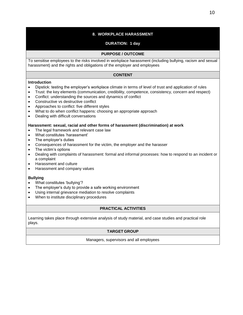# **8. WORKPLACE HARASSMENT**

# **DURATION: 1 day**

#### **PURPOSE / OUTCOME**

To sensitise employees to the risks involved in workplace harassment (including bullying, racism and sexual harassment) and the rights and obligations of the employer and employees

# **CONTENT**

#### **Introduction**

- Dipstick: testing the employer's workplace climate in terms of level of trust and application of rules
- Trust: the key elements (communication, credibility, competence, consistency, concern and respect)
- Conflict: understanding the sources and dynamics of conflict
- Constructive vs destructive conflict
- Approaches to conflict: five different styles
- What to do when conflict happens: choosing an appropriate approach
- Dealing with difficult conversations

#### **Harassment: sexual, racial and other forms of harassment (discrimination) at work**

- The legal framework and relevant case law
- What constitutes 'harassment'
- The employer's duties
- Consequences of harassment for the victim, the employer and the harasser
- The victim's options
- Dealing with complaints of harassment: formal and informal processes: how to respond to an incident or a complaint
- Harassment and culture
- Harassment and company values

#### **Bullying**

- What constitutes 'bullying'?
- The employer's duty to provide a safe working environment
- Using internal grievance mediation to resolve complaints
- When to institute disciplinary procedures

#### **PRACTICAL ACTIVITIES**

Learning takes place through extensive analysis of study material, and case studies and practical role plays.

# **TARGET GROUP**

Managers, supervisors and all employees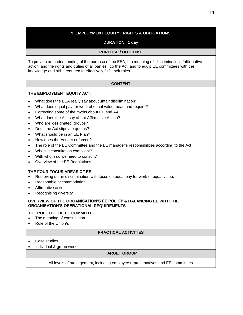# **9. EMPLOYMENT EQUITY: RIGHTS & OBLIGATIONS**

# **DURATION: 1 day**

# **PURPOSE / OUTCOME**

To provide an understanding of the purpose of the EEA, the meaning of 'discrimination', 'affirmative action' and the rights and duties of all parties i.t.o the Act; and to equip EE committees with the knowledge and skills required to effectively fulfil their roles

#### **CONTENT**

#### **THE EMPLOYMENT EQUITY ACT:**

- What does the EEA really say about unfair discrimination?
- What does equal pay for work of equal value mean and require?
- Correcting some of the myths about EE and AA.
- What does the Act say about Affirmative Action?
- Who are 'designated' groups?
- Does the Act stipulate quotas?
- What should be in an EE Plan?
- How does the Act get enforced?
- The role of the EE Committee and the EE manager's responsibilities according to the Act
- When is consultation compliant?
- With whom do we need to consult?
- Overview of the EE Regulations

#### **THE FOUR FOCUS AREAS OF EE:**

- Removing unfair discrimination with focus on equal pay for work of equal value.
- Reasonable accommodation
- Affirmative action
- Recognising diversity

#### **OVERVIEW OF THE ORGANISATION'S EE POLICY & BALANCING EE WITH THE ORGANISATION'S OPERATIONAL REQUIREMENTS**

#### **THE ROLE OF THE EE COMMITTEE**

- The meaning of consultation
- Role of the Union/s

#### **PRACTICAL ACTIVITIES**

- Case studies
- Individual & group work

#### **TARGET GROUP**

All levels of management, including employee representatives and EE committees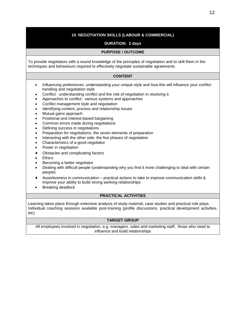# **10. NEGOTIATION SKILLS (LABOUR & COMMERCIAL)**

# **DURATION: 2 days**

#### **PURPOSE / OUTCOME**

To provide negotiators with a sound knowledge of the principles of negotiation and to skill them in the techniques and behaviours required to effectively negotiate sustainable agreements

#### **CONTENT**

- Influencing preferences: understanding your unique style and how this will influence your conflict handling and negotiation style
- Conflict: understanding conflict and the role of negotiation in resolving it
- Approaches to conflict: various systems and approaches
- Conflict management style and negotiation
- Identifying content, process and relationship issues
- Mutual gains approach
- Positional and interest-based bargaining
- Common errors made during negotiations
- Defining success in negotiations
- Preparation for negotiations: the seven elements of preparation
- Interacting with the other side: the five phases of negotiation
- Characteristics of a good negotiator
- Power in negotiation
- Obstacles and complicating factors
- Ethics
- Becoming a better negotiator
- Dealing with difficult people (understanding why you find it more challenging to deal with certain people)
- Assertiveness in communication practical actions to take to improve communication skills & improve your ability to build strong working relationships
- Breaking deadlock

#### **PRACTICAL ACTIVITIES**

Learning takes place through extensive analysis of study material, case studies and practical role plays. Individual coaching sessions available post-training (profile discussions, practical development activities, etc)

#### **TARGET GROUP**

All employees involved in negotiation, e.g. managers, sales and marketing staff; those who need to influence and build relationships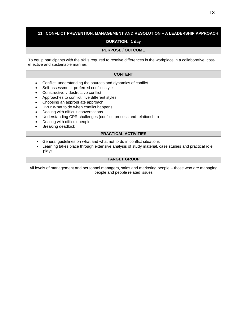# **11. CONFLICT PREVENTION, MANAGEMENT AND RESOLUTION – A LEADERSHIP APPROACH**

# **DURATION: 1 day**

# **PURPOSE / OUTCOME**

To equip participants with the skills required to resolve differences in the workplace in a collaborative, costeffective and sustainable manner.

# **CONTENT**

- Conflict: understanding the sources and dynamics of conflict
- Self-assessment: preferred conflict style
- Constructive v destructive conflict
- Approaches to conflict: five different styles
- Choosing an appropriate approach
- DVD: What to do when conflict happens
- Dealing with difficult conversations
- Understanding CPR challenges (conflict, process and relationship)
- Dealing with difficult people
- Breaking deadlock

#### **PRACTICAL ACTIVITIES**

- General guidelines on what and what not to do in conflict situations
- Learning takes place through extensive analysis of study material, case studies and practical role plays

# **TARGET GROUP**

All levels of management and personnel managers, sales and marketing people – those who are managing people and people related issues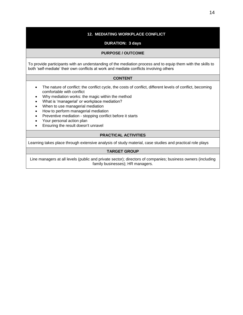# **12. MEDIATING WORKPLACE CONFLICT**

# **DURATION: 3 days**

#### **PURPOSE / OUTCOME**

To provide participants with an understanding of the mediation process and to equip them with the skills to both 'self-mediate' their own conflicts at work and mediate conflicts involving others

#### **CONTENT**

- The nature of conflict: the conflict cycle, the costs of conflict, different levels of conflict, becoming comfortable with conflict
- Why mediation works: the magic within the method
- What is 'managerial' or workplace mediation?
- When to use managerial mediation
- How to perform managerial mediation
- Preventive mediation stopping conflict before it starts
- Your personal action plan
- Ensuring the result doesn't unravel

#### **PRACTICAL ACTIVITIES**

Learning takes place through extensive analysis of study material, case studies and practical role plays

# **TARGET GROUP**

Line managers at all levels (public and private sector); directors of companies; business owners (including family businesses); HR managers.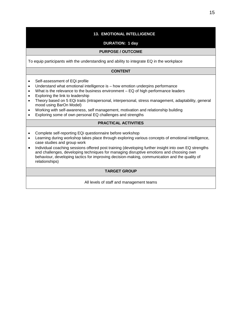# **13. EMOTIONAL INTELLIGENCE**

# **DURATION: 1 day**

#### **PURPOSE / OUTCOME**

To equip participants with the understanding and ability to integrate EQ in the workplace

#### **CONTENT**

- Self-assessment of EQi profile
- Understand what emotional intelligence is how emotion underpins performance
- What is the relevance to the business environment EQ of high performance leaders
- Exploring the link to leadership
- Theory based on 5 EQi traits (intrapersonal, interpersonal, stress management, adaptability, general mood using BarOn Model)
- Working with self-awareness, self management, motivation and relationship building
- Exploring some of own personal EQ challenges and strengths

# **PRACTICAL ACTIVITIES**

- Complete self-reporting EQi questionnaire before workshop
- Learning during workshop takes place through exploring various concepts of emotional intelligence, case studies and group work
- Individual coaching sessions offered post training (developing further insight into own EQ strengths and challenges, developing techniques for managing disruptive emotions and choosing own behaviour, developing tactics for improving decision-making, communication and the quality of relationships)

# **TARGET GROUP**

All levels of staff and management teams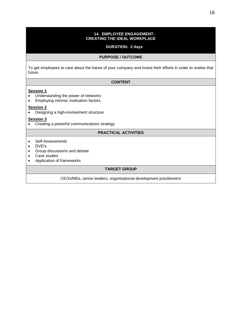#### **14. EMPLOYEE ENGAGEMENT: CREATING THE IDEAL WORKPLACE**

#### **DURATION: 2 days**

#### **PURPOSE / OUTCOME**

To get employees to care about the future of your company and invest their efforts in order to realise that future

#### **CONTENT**

#### **Session 1**

- Understanding the power of networks
- Employing intrinsic motivation factors

#### **Session 2**

• Designing a high-involvement structure

#### **Session 3**

• Creating a powerful communications strategy

# **PRACTICAL ACTIVITIES**

- Self-Assessments
- DVD's
- Group discussions and debate
- Case studies
- Application of frameworks

# **TARGET GROUP**

CEOs/MDs, senior leaders, organisational development practitioners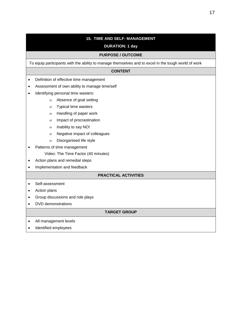# **15. TIME AND SELF- MANAGEMENT**

# **DURATION: 1 day**

#### **PURPOSE / OUTCOME**

To equip participants with the ability to manage themselves and to excel in the tough world of work

#### **CONTENT**

- Definition of effective time management
- Assessment of own ability to manage time/self
- Identifying personal time wasters:
	- Absence of goal setting
	- Typical time wasters
	- Handling of paper work
	- o Impact of procrastination
	- Inability to say NO!
	- Negative impact of colleagues
	- Disorganised life style
- Patterns of time management
	- Video: The Time Factor (40 minutes)
- Action plans and remedial steps
- Implementation and feedback

#### **PRACTICAL ACTIVITIES**

- Self-assessment
- Action plans
- Group discussions and role plays
- DVD demonstrations

#### **TARGET GROUP**

- All management levels
- Identified employees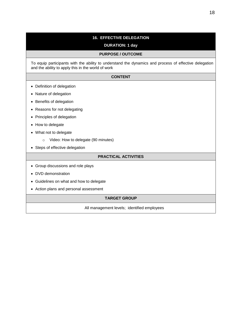# **16. EFFECTIVE DELEGATION**

#### **DURATION: 1 day**

#### **PURPOSE / OUTCOME**

To equip participants with the ability to understand the dynamics and process of effective delegation and the ability to apply this in the world of work

#### **CONTENT**

- Definition of delegation
- Nature of delegation
- Benefits of delegation
- Reasons for not delegating
- Principles of delegation
- How to delegate
- What not to delegate
	- o Video: How to delegate (90 minutes)
- Steps of effective delegation

#### **PRACTICAL ACTIVITIES**

- Group discussions and role plays
- DVD demonstration
- Guidelines on what and how to delegate
- Action plans and personal assessment

# **TARGET GROUP**

All management levels; identified employees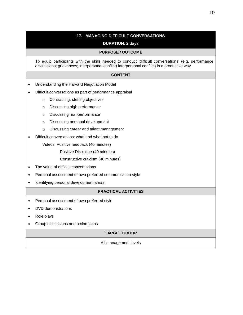# **17. MANAGING DIFFICULT CONVERSATIONS**

# **DURATION: 2 days**

#### **PURPOSE / OUTCOME**

To equip participants with the skills needed to conduct 'difficult conversations' (e.g. performance discussions; grievances; interpersonal conflict) interpersonal conflict) in a productive way

#### **CONTENT**

- Understanding the Harvard Negotiation Model
- Difficult conversations as part of performance appraisal
	- o Contracting, stetting objectives
	- o Discussing high performance
	- o Discussing non-performance
	- o Discussing personal development
	- o Discussing career and talent management
- Difficult conversations: what and what not to do

Videos: Positive feedback (40 minutes)

Positive Discipline (40 minutes)

Constructive criticism (40 minutes)

- The value of difficult conversations
- Personal assessment of own preferred communication style
- Identifying personal development areas

### **PRACTICAL ACTIVITIES**

- Personal assessment of own preferred style
- DVD demonstrations
- Role plays
- Group discussions and action plans

#### **TARGET GROUP**

All management levels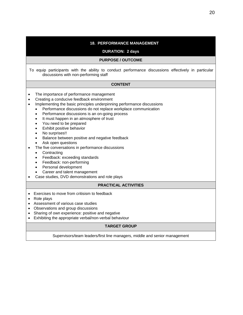| <b>18. PERFORMANCE MANAGEMENT</b><br><b>DURATION: 2 days</b>                                                                                                                                                                                                                                                                                                                                                                                                                                                                                                                                                                                                                                                                                                                                                                                                                 |  |  |  |
|------------------------------------------------------------------------------------------------------------------------------------------------------------------------------------------------------------------------------------------------------------------------------------------------------------------------------------------------------------------------------------------------------------------------------------------------------------------------------------------------------------------------------------------------------------------------------------------------------------------------------------------------------------------------------------------------------------------------------------------------------------------------------------------------------------------------------------------------------------------------------|--|--|--|
| <b>PURPOSE / OUTCOME</b>                                                                                                                                                                                                                                                                                                                                                                                                                                                                                                                                                                                                                                                                                                                                                                                                                                                     |  |  |  |
| To equip participants with the ability to conduct performance discussions effectively in particular<br>discussions with non-performing staff                                                                                                                                                                                                                                                                                                                                                                                                                                                                                                                                                                                                                                                                                                                                 |  |  |  |
| <b>CONTENT</b>                                                                                                                                                                                                                                                                                                                                                                                                                                                                                                                                                                                                                                                                                                                                                                                                                                                               |  |  |  |
| The importance of performance management<br>Creating a conducive feedback environment<br>Implementing the basic principles underpinning performance discussions<br>$\bullet$<br>Performance discussions do not replace workplace communication<br>$\bullet$<br>Performance discussions is an on-going process<br>$\bullet$<br>It must happen in an atmosphere of trust<br>$\bullet$<br>You need to be prepared<br>$\bullet$<br>Exhibit positive behavior<br>$\bullet$<br>No surprises!!<br>Balance between positive and negative feedback<br>$\bullet$<br>Ask open questions<br>The five conversations in performance discussions<br>Contracting<br>$\bullet$<br>Feedback: exceeding standards<br>$\bullet$<br>Feedback: non-performing<br>$\bullet$<br>Personal development<br>$\bullet$<br>Career and talent management<br>Case studies, DVD demonstrations and role plays |  |  |  |
| <b>PRACTICAL ACTIVITIES</b>                                                                                                                                                                                                                                                                                                                                                                                                                                                                                                                                                                                                                                                                                                                                                                                                                                                  |  |  |  |
| Exercises to move from critisism to feedback<br>Role plays<br>Assessment of various case studies<br>$\bullet$<br>Observations and group discussions<br>$\bullet$<br>Sharing of own experience: positive and negative<br>$\bullet$<br>Exhibiting the appropriate verbal/non-verbal behaviour                                                                                                                                                                                                                                                                                                                                                                                                                                                                                                                                                                                  |  |  |  |

#### **TARGET GROUP**

Supervisors/team leaders/first line managers, middle and senior management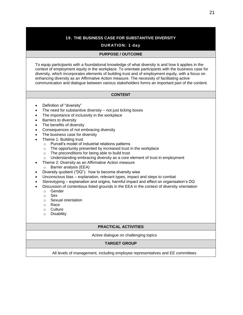#### **19. THE BUSINESS CASE FOR SUBSTANTIVE DIVERSITY**

#### **DURATION: 1 day**

#### **PURPOSE / OUTCOME**

To equip participants with a foundational knowledge of what diversity is and how it applies in the context of employment equity in the workplace. To orientate participants with the business case for diversity, which incorporates elements of building trust and of employment equity, with a focus on enhancing diversity as an Affirmative Action measure. The necessity of facilitating active communication and dialogue between various stakeholders forms an important part of the content.

#### **CONTENT**

- Definition of "diversity"
- The need for substantive diversity not just ticking boxes
- The importance of inclusivity in the workplace
- Barriers to diversity
- The benefits of diversity
- Consequences of not embracing diversity
- The business case for diversity
- Theme 1: Building trust
	- o Purcell's model of industrial relations patterns
	- o The opportunity presented by increased trust in the workplace
	- o The preconditions for being able to build trust
	- o Understanding embracing diversity as a core element of trust in employment
	- Theme 2: Diversity as an Affirmative Action measure
		- o Barrier analysis (EEA)
- Diversity quotient ("DQ"): how to become diversity wise
- Unconscious bias explanation, relevant types, impact and steps to combat
- Stereotyping explanation and origins, harmful impact and effect on organisation's DQ
- Discussion of contentious listed grounds in the EEA in the context of diversity orientation
	- o Gender
	- o Sex
	- o Sexual orientation
	- o Race
	- o Culture
	- o Disability

#### **PRACTICAL ACTIVITIES**

Active dialogue on challenging topics

#### **TARGET GROUP**

All levels of management, including employee representatives and EE committees